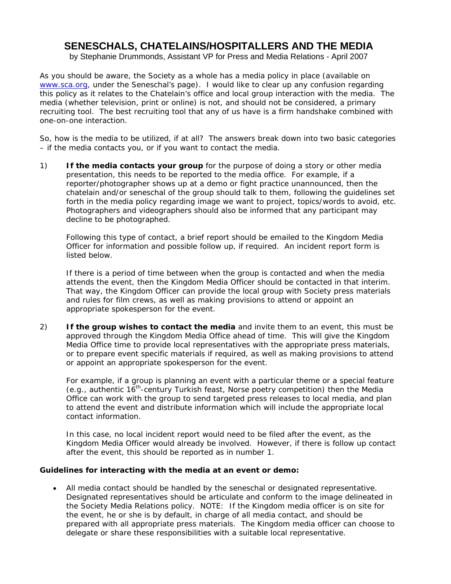# **SENESCHALS, CHATELAINS/HOSPITALLERS AND THE MEDIA**

by Stephanie Drummonds, Assistant VP for Press and Media Relations - April 2007

As you should be aware, the Society as a whole has a media policy in place (available on [www.sca.org,](http://www.sca.org/) under the Seneschal's page). I would like to clear up any confusion regarding this policy as it relates to the Chatelain's office and local group interaction with the media. The media (whether television, print or online) is not, and should not be considered, a primary recruiting tool. The best recruiting tool that any of us have is a firm handshake combined with one-on-one interaction.

So, how is the media to be utilized, if at all? The answers break down into two basic categories – if the media contacts you, or if you want to contact the media.

1) **If the media contacts your group** for the purpose of doing a story or other media presentation, this needs to be reported to the media office. For example, if a reporter/photographer shows up at a demo or fight practice unannounced, then the chatelain and/or seneschal of the group should talk to them, following the guidelines set forth in the media policy regarding image we want to project, topics/words to avoid, etc. Photographers and videographers should also be informed that any participant may decline to be photographed.

Following this type of contact, a brief report should be emailed to the Kingdom Media Officer for information and possible follow up, if required. An incident report form is listed below.

If there is a period of time between when the group is contacted and when the media attends the event, then the Kingdom Media Officer should be contacted in that interim. That way, the Kingdom Officer can provide the local group with Society press materials and rules for film crews, as well as making provisions to attend or appoint an appropriate spokesperson for the event.

2) **If the group wishes to contact the media** and invite them to an event, this must be approved through the Kingdom Media Office ahead of time. This will give the Kingdom Media Office time to provide local representatives with the appropriate press materials, or to prepare event specific materials if required, as well as making provisions to attend or appoint an appropriate spokesperson for the event.

For example, if a group is planning an event with a particular theme or a special feature (e.g., authentic  $16<sup>th</sup>$ -century Turkish feast, Norse poetry competition) then the Media Office can work with the group to send targeted press releases to local media, and plan to attend the event and distribute information which will include the appropriate local contact information.

In this case, no local incident report would need to be filed after the event, as the Kingdom Media Officer would already be involved. However, if there is follow up contact after the event, this should be reported as in number 1.

### **Guidelines for interacting with the media at an event or demo:**

• All media contact should be handled by the seneschal or designated representative. Designated representatives should be articulate and conform to the image delineated in the Society Media Relations policy. NOTE: If the Kingdom media officer is on site for the event, he or she is by default, in charge of all media contact, and should be prepared with all appropriate press materials. The Kingdom media officer can choose to delegate or share these responsibilities with a suitable local representative.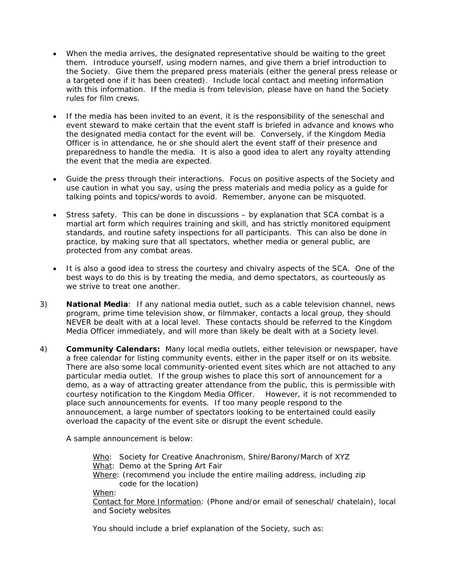- When the media arrives, the designated representative should be waiting to the greet them. Introduce yourself, using modern names, and give them a brief introduction to the Society. Give them the prepared press materials (either the general press release or a targeted one if it has been created). Include local contact and meeting information with this information. If the media is from television, please have on hand the Society rules for film crews.
- If the media has been invited to an event, it is the responsibility of the seneschal and event steward to make certain that the event staff is briefed in advance and knows who the designated media contact for the event will be. Conversely, if the Kingdom Media Officer is in attendance, he or she should alert the event staff of their presence and preparedness to handle the media. It is also a good idea to alert any royalty attending the event that the media are expected.
- Guide the press through their interactions. Focus on positive aspects of the Society and use caution in what you say, using the press materials and media policy as a guide for talking points and topics/words to avoid. Remember, anyone can be misquoted.
- Stress safety. This can be done in discussions by explanation that SCA combat is a martial art form which requires training and skill, and has strictly monitored equipment standards, and routine safety inspections for all participants. This can also be done in practice, by making sure that all spectators, whether media or general public, are protected from any combat areas.
- It is also a good idea to stress the courtesy and chivalry aspects of the SCA. One of the best ways to do this is by treating the media, and demo spectators, as courteously as we strive to treat one another.
- 3) **National Media**: If any national media outlet, such as a cable television channel, news program, prime time television show, or filmmaker, contacts a local group, they should NEVER be dealt with at a local level. These contacts should be referred to the Kingdom Media Officer immediately, and will more than likely be dealt with at a Society level.
- 4) **Community Calendars:** Many local media outlets, either television or newspaper, have a free calendar for listing community events, either in the paper itself or on its website. There are also some local community-oriented event sites which are not attached to any particular media outlet. If the group wishes to place this sort of announcement for a demo, as a way of attracting greater attendance from the public, this is permissible with courtesy notification to the Kingdom Media Officer. However, it is not recommended to place such announcements for events. If too many people respond to the announcement, a large number of spectators looking to be entertained could easily overload the capacity of the event site or disrupt the event schedule.

A sample announcement is below:

Who: Society for Creative Anachronism, Shire/Barony/March of XYZ What: Demo at the Spring Art Fair Where: (recommend you include the entire mailing address, including zip code for the location) When: Contact for More Information: (Phone and/or email of seneschal/ chatelain), local and Society websites

You should include a brief explanation of the Society, such as: